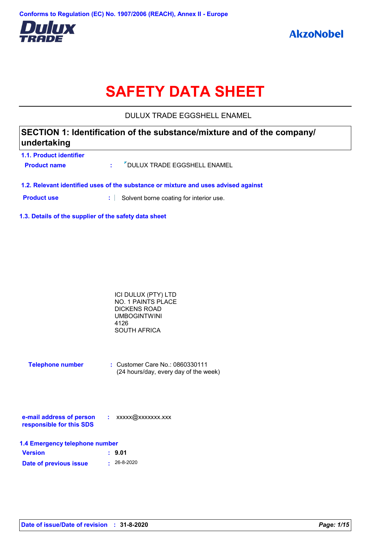

# **SAFETY DATA SHEET**

DULUX TRADE EGGSHELL ENAMEL

# **SECTION 1: Identification of the substance/mixture and of the company/ undertaking**

| 1.1. Product identifier |                                 |
|-------------------------|---------------------------------|
| <b>Product name</b>     | : 7 DULUX TRADE EGGSHELL ENAMEL |
|                         |                                 |

**1.2. Relevant identified uses of the substance or mixture and uses advised against**

**Product use <b>:** Solvent borne coating for interior use.

**1.3. Details of the supplier of the safety data sheet**

| ICI DULUX (PTY) LTD |  |
|---------------------|--|
| NO. 1 PAINTS PLACE  |  |
| DICKENS ROAD        |  |
| <b>UMBOGINTWINI</b> |  |
| 4126                |  |
| SOUTH AFRICA        |  |

| <b>Telephone number</b> | $\therefore$ Customer Care No.: 0860330111 |
|-------------------------|--------------------------------------------|
|                         | (24 hours/day, every day of the week)      |

| e-mail address of person | xxxxx@xxxxxxx.xxx |
|--------------------------|-------------------|
| responsible for this SDS |                   |

| 1.4 Emergency telephone number |                   |  |  |  |
|--------------------------------|-------------------|--|--|--|
| <b>Version</b>                 | : 9.01            |  |  |  |
| Date of previous issue         | $\cdot$ 26-8-2020 |  |  |  |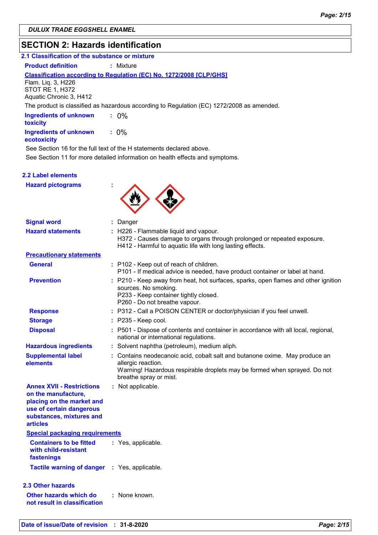### **SECTION 2: Hazards identification**

| 2.1 Classification of the substance or mixture |  |  |  |
|------------------------------------------------|--|--|--|
|                                                |  |  |  |

**Product definition : Mixture** 

### **Classification according to Regulation (EC) No. 1272/2008 [CLP/GHS]**

Flam. Liq. 3, H226 STOT RE 1, H372 Aquatic Chronic 3, H412

The product is classified as hazardous according to Regulation (EC) 1272/2008 as amended.

| <b>Ingredients of unknown</b><br>toxicity    | $: 0\%$ |
|----------------------------------------------|---------|
| <b>Ingredients of unknown</b><br>ecotoxicity | $: 0\%$ |

See Section 16 for the full text of the H statements declared above.

See Section 11 for more detailed information on health effects and symptoms.

### **2.2 Label elements**

**Hazard pictograms :**



| <b>Signal word</b>                                                                                                                                              | : Danger                                                                                                                                                                                                 |
|-----------------------------------------------------------------------------------------------------------------------------------------------------------------|----------------------------------------------------------------------------------------------------------------------------------------------------------------------------------------------------------|
| <b>Hazard statements</b>                                                                                                                                        | : H226 - Flammable liquid and vapour.<br>H372 - Causes damage to organs through prolonged or repeated exposure.<br>H412 - Harmful to aquatic life with long lasting effects.                             |
| <b>Precautionary statements</b>                                                                                                                                 |                                                                                                                                                                                                          |
| <b>General</b>                                                                                                                                                  | : P102 - Keep out of reach of children.<br>P101 - If medical advice is needed, have product container or label at hand.                                                                                  |
| <b>Prevention</b>                                                                                                                                               | : P210 - Keep away from heat, hot surfaces, sparks, open flames and other ignition<br>sources. No smoking.<br>P233 - Keep container tightly closed.<br>P260 - Do not breathe vapour.                     |
| <b>Response</b>                                                                                                                                                 | : P312 - Call a POISON CENTER or doctor/physician if you feel unwell.                                                                                                                                    |
| <b>Storage</b>                                                                                                                                                  | $:$ P235 - Keep cool.                                                                                                                                                                                    |
| <b>Disposal</b>                                                                                                                                                 | : P501 - Dispose of contents and container in accordance with all local, regional,<br>national or international regulations.                                                                             |
| <b>Hazardous ingredients</b>                                                                                                                                    | : Solvent naphtha (petroleum), medium aliph.                                                                                                                                                             |
| <b>Supplemental label</b><br>elements                                                                                                                           | : Contains neodecanoic acid, cobalt salt and butanone oxime. May produce an<br>allergic reaction.<br>Warning! Hazardous respirable droplets may be formed when sprayed. Do not<br>breathe spray or mist. |
| <b>Annex XVII - Restrictions</b><br>on the manufacture,<br>placing on the market and<br>use of certain dangerous<br>substances, mixtures and<br><b>articles</b> | : Not applicable.                                                                                                                                                                                        |
| <b>Special packaging requirements</b>                                                                                                                           |                                                                                                                                                                                                          |
| <b>Containers to be fitted</b><br>with child-resistant<br>fastenings                                                                                            | : Yes, applicable.                                                                                                                                                                                       |
| Tactile warning of danger : Yes, applicable.                                                                                                                    |                                                                                                                                                                                                          |
| <b>2.3 Other hazards</b>                                                                                                                                        |                                                                                                                                                                                                          |
| Other hazards which do<br>not result in classification                                                                                                          | : None known.                                                                                                                                                                                            |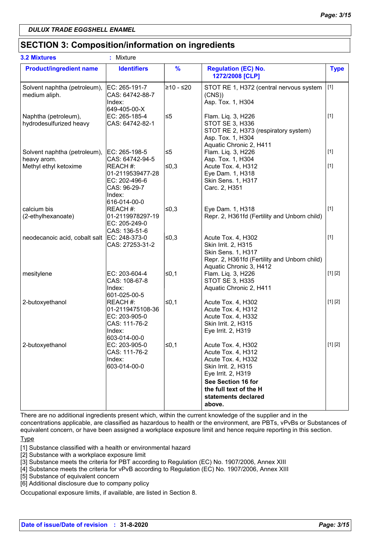### **SECTION 3: Composition/information on ingredients**

| <b>3.2 Mixtures</b>                             | ÷<br>Mixture                                                                             |               |                                                                                                                                                                                              |             |
|-------------------------------------------------|------------------------------------------------------------------------------------------|---------------|----------------------------------------------------------------------------------------------------------------------------------------------------------------------------------------------|-------------|
| <b>Product/ingredient name</b>                  | <b>Identifiers</b>                                                                       | $\frac{9}{6}$ | <b>Regulation (EC) No.</b><br>1272/2008 [CLP]                                                                                                                                                | <b>Type</b> |
| Solvent naphtha (petroleum),<br>medium aliph.   | EC: 265-191-7<br>CAS: 64742-88-7<br>Index:<br>649-405-00-X                               | l≥10 - ≤20    | STOT RE 1, H372 (central nervous system<br>(CNS)<br>Asp. Tox. 1, H304                                                                                                                        | $[1]$       |
| Naphtha (petroleum),<br>hydrodesulfurized heavy | EC: 265-185-4<br>CAS: 64742-82-1                                                         | ≤5            | Flam. Liq. 3, H226<br>STOT SE 3, H336<br>STOT RE 2, H373 (respiratory system)<br>Asp. Tox. 1, H304<br>Aquatic Chronic 2, H411                                                                | $[1]$       |
| Solvent naphtha (petroleum),<br>heavy arom.     | EC: 265-198-5<br>CAS: 64742-94-5                                                         | ≤5            | Flam. Liq. 3, H226<br>Asp. Tox. 1, H304                                                                                                                                                      | $[1]$       |
| Methyl ethyl ketoxime                           | REACH#:<br>01-2119539477-28<br>EC: 202-496-6<br>CAS: 96-29-7<br>Index:                   | ∣≤0,3         | Acute Tox. 4, H312<br>Eye Dam. 1, H318<br>Skin Sens. 1, H317<br>Carc. 2, H351                                                                                                                | $[1]$       |
| calcium bis<br>(2-ethylhexanoate)               | 616-014-00-0<br>REACH #:<br>01-2119978297-19<br>EC: 205-249-0<br>CAS: 136-51-6           | ∣≤0,3         | Eye Dam. 1, H318<br>Repr. 2, H361fd (Fertility and Unborn child)                                                                                                                             | $[1]$       |
| neodecanoic acid, cobalt salt                   | EC: 248-373-0<br>CAS: 27253-31-2                                                         | 50,3∣         | Acute Tox. 4, H302<br>Skin Irrit. 2, H315<br>Skin Sens. 1, H317<br>Repr. 2, H361fd (Fertility and Unborn child)<br>Aquatic Chronic 3, H412                                                   | $[1]$       |
| mesitylene                                      | EC: 203-604-4<br>CAS: 108-67-8<br>Index:<br>601-025-00-5                                 | ≤0,1          | Flam. Liq. 3, H226<br><b>STOT SE 3, H335</b><br>Aquatic Chronic 2, H411                                                                                                                      | [1] [2]     |
| 2-butoxyethanol                                 | REACH #:<br>01-2119475108-36<br>EC: 203-905-0<br>CAS: 111-76-2<br>Index:<br>603-014-00-0 | l≤0,1         | Acute Tox. 4, H302<br>Acute Tox. 4, H312<br>Acute Tox. 4, H332<br>Skin Irrit. 2, H315<br>Eye Irrit. 2, H319                                                                                  | [1] [2]     |
| 2-butoxyethanol                                 | EC: 203-905-0<br>CAS: 111-76-2<br>Index:<br>603-014-00-0                                 | $\leq 0,1$    | Acute Tox. 4, H302<br>Acute Tox. 4, H312<br>Acute Tox. 4, H332<br>Skin Irrit. 2, H315<br>Eye Irrit. 2, H319<br>See Section 16 for<br>the full text of the H<br>statements declared<br>above. | [1] [2]     |

There are no additional ingredients present which, within the current knowledge of the supplier and in the concentrations applicable, are classified as hazardous to health or the environment, are PBTs, vPvBs or Substances of equivalent concern, or have been assigned a workplace exposure limit and hence require reporting in this section.

**Type** 

[1] Substance classified with a health or environmental hazard

[2] Substance with a workplace exposure limit

[3] Substance meets the criteria for PBT according to Regulation (EC) No. 1907/2006, Annex XIII

[4] Substance meets the criteria for vPvB according to Regulation (EC) No. 1907/2006, Annex XIII

[5] Substance of equivalent concern

[6] Additional disclosure due to company policy

Occupational exposure limits, if available, are listed in Section 8.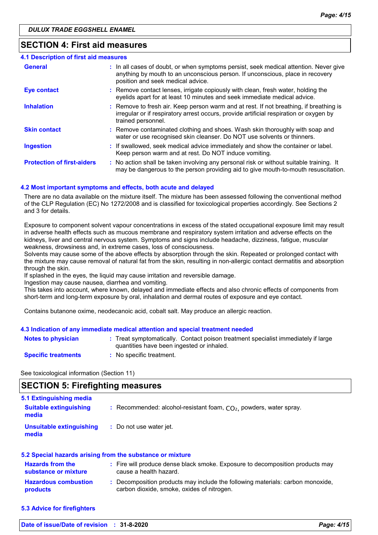### **SECTION 4: First aid measures**

| 4.1 Description of first aid measures |                                                                                                                                                                                                             |
|---------------------------------------|-------------------------------------------------------------------------------------------------------------------------------------------------------------------------------------------------------------|
| <b>General</b>                        | : In all cases of doubt, or when symptoms persist, seek medical attention. Never give<br>anything by mouth to an unconscious person. If unconscious, place in recovery<br>position and seek medical advice. |
| <b>Eye contact</b>                    | : Remove contact lenses, irrigate copiously with clean, fresh water, holding the<br>eyelids apart for at least 10 minutes and seek immediate medical advice.                                                |
| <b>Inhalation</b>                     | : Remove to fresh air. Keep person warm and at rest. If not breathing, if breathing is<br>irregular or if respiratory arrest occurs, provide artificial respiration or oxygen by<br>trained personnel.      |
| <b>Skin contact</b>                   | : Remove contaminated clothing and shoes. Wash skin thoroughly with soap and<br>water or use recognised skin cleanser. Do NOT use solvents or thinners.                                                     |
| <b>Ingestion</b>                      | : If swallowed, seek medical advice immediately and show the container or label.<br>Keep person warm and at rest. Do NOT induce vomiting.                                                                   |
| <b>Protection of first-aiders</b>     | : No action shall be taken involving any personal risk or without suitable training. It<br>may be dangerous to the person providing aid to give mouth-to-mouth resuscitation.                               |

#### **4.2 Most important symptoms and effects, both acute and delayed**

There are no data available on the mixture itself. The mixture has been assessed following the conventional method of the CLP Regulation (EC) No 1272/2008 and is classified for toxicological properties accordingly. See Sections 2 and 3 for details.

Exposure to component solvent vapour concentrations in excess of the stated occupational exposure limit may result in adverse health effects such as mucous membrane and respiratory system irritation and adverse effects on the kidneys, liver and central nervous system. Symptoms and signs include headache, dizziness, fatigue, muscular weakness, drowsiness and, in extreme cases, loss of consciousness.

Solvents may cause some of the above effects by absorption through the skin. Repeated or prolonged contact with the mixture may cause removal of natural fat from the skin, resulting in non-allergic contact dermatitis and absorption through the skin.

If splashed in the eyes, the liquid may cause irritation and reversible damage.

Ingestion may cause nausea, diarrhea and vomiting.

This takes into account, where known, delayed and immediate effects and also chronic effects of components from short-term and long-term exposure by oral, inhalation and dermal routes of exposure and eye contact.

Contains butanone oxime, neodecanoic acid, cobalt salt. May produce an allergic reaction.

#### **4.3 Indication of any immediate medical attention and special treatment needed**

| Notes to physician         | : Treat symptomatically. Contact poison treatment specialist immediately if large<br>quantities have been ingested or inhaled. |
|----------------------------|--------------------------------------------------------------------------------------------------------------------------------|
| <b>Specific treatments</b> | No specific treatment.                                                                                                         |

See toxicological information (Section 11)

### **SECTION 5: Firefighting measures**

| 5.1 Extinguishing media<br><b>Suitable extinguishing</b><br>media | : Recommended: alcohol-resistant foam, $CO2$ , powders, water spray. |
|-------------------------------------------------------------------|----------------------------------------------------------------------|
| Unsuitable extinguishing<br>media                                 | : Do not use water jet.                                              |

| 5.2 Special hazards arising from the substance or mixture |  |                                                                                                                              |  |  |
|-----------------------------------------------------------|--|------------------------------------------------------------------------------------------------------------------------------|--|--|
| <b>Hazards from the</b><br>substance or mixture           |  | : Fire will produce dense black smoke. Exposure to decomposition products may<br>cause a health hazard.                      |  |  |
| <b>Hazardous combustion</b><br>products                   |  | : Decomposition products may include the following materials: carbon monoxide,<br>carbon dioxide, smoke, oxides of nitrogen. |  |  |

**5.3 Advice for firefighters**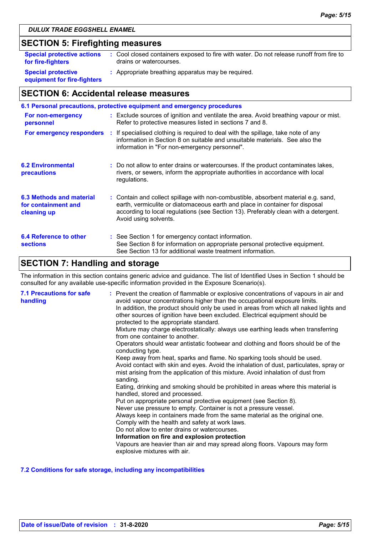# **SECTION 5: Firefighting measures**

| <b>Special protective actions</b>                        | : Cool closed containers exposed to fire with water. Do not release runoff from fire to |
|----------------------------------------------------------|-----------------------------------------------------------------------------------------|
| for fire-fighters                                        | drains or watercourses.                                                                 |
| <b>Special protective</b><br>equipment for fire-fighters | : Appropriate breathing apparatus may be required.                                      |

# **SECTION 6: Accidental release measures**

| 6.1 Personal precautions, protective equipment and emergency procedures |  |                                                                                                                                                                                                                                                                                    |  |  |
|-------------------------------------------------------------------------|--|------------------------------------------------------------------------------------------------------------------------------------------------------------------------------------------------------------------------------------------------------------------------------------|--|--|
| For non-emergency<br>personnel                                          |  | : Exclude sources of ignition and ventilate the area. Avoid breathing vapour or mist.<br>Refer to protective measures listed in sections 7 and 8.                                                                                                                                  |  |  |
|                                                                         |  | For emergency responders : If specialised clothing is required to deal with the spillage, take note of any<br>information in Section 8 on suitable and unsuitable materials. See also the<br>information in "For non-emergency personnel".                                         |  |  |
| <b>6.2 Environmental</b><br>precautions                                 |  | : Do not allow to enter drains or watercourses. If the product contaminates lakes,<br>rivers, or sewers, inform the appropriate authorities in accordance with local<br>regulations.                                                                                               |  |  |
| 6.3 Methods and material<br>for containment and<br>cleaning up          |  | : Contain and collect spillage with non-combustible, absorbent material e.g. sand,<br>earth, vermiculite or diatomaceous earth and place in container for disposal<br>according to local regulations (see Section 13). Preferably clean with a detergent.<br>Avoid using solvents. |  |  |
| 6.4 Reference to other<br><b>sections</b>                               |  | : See Section 1 for emergency contact information.<br>See Section 8 for information on appropriate personal protective equipment.<br>See Section 13 for additional waste treatment information.                                                                                    |  |  |

# **SECTION 7: Handling and storage**

The information in this section contains generic advice and guidance. The list of Identified Uses in Section 1 should be consulted for any available use-specific information provided in the Exposure Scenario(s).

| <b>7.1 Precautions for safe</b><br>handling | : Prevent the creation of flammable or explosive concentrations of vapours in air and<br>avoid vapour concentrations higher than the occupational exposure limits.<br>In addition, the product should only be used in areas from which all naked lights and<br>other sources of ignition have been excluded. Electrical equipment should be<br>protected to the appropriate standard.<br>Mixture may charge electrostatically: always use earthing leads when transferring<br>from one container to another.<br>Operators should wear antistatic footwear and clothing and floors should be of the<br>conducting type.<br>Keep away from heat, sparks and flame. No sparking tools should be used.<br>Avoid contact with skin and eyes. Avoid the inhalation of dust, particulates, spray or<br>mist arising from the application of this mixture. Avoid inhalation of dust from<br>sanding.<br>Eating, drinking and smoking should be prohibited in areas where this material is<br>handled, stored and processed.<br>Put on appropriate personal protective equipment (see Section 8).<br>Never use pressure to empty. Container is not a pressure vessel.<br>Always keep in containers made from the same material as the original one.<br>Comply with the health and safety at work laws.<br>Do not allow to enter drains or watercourses.<br>Information on fire and explosion protection<br>Vapours are heavier than air and may spread along floors. Vapours may form<br>explosive mixtures with air. |
|---------------------------------------------|--------------------------------------------------------------------------------------------------------------------------------------------------------------------------------------------------------------------------------------------------------------------------------------------------------------------------------------------------------------------------------------------------------------------------------------------------------------------------------------------------------------------------------------------------------------------------------------------------------------------------------------------------------------------------------------------------------------------------------------------------------------------------------------------------------------------------------------------------------------------------------------------------------------------------------------------------------------------------------------------------------------------------------------------------------------------------------------------------------------------------------------------------------------------------------------------------------------------------------------------------------------------------------------------------------------------------------------------------------------------------------------------------------------------------------------------------------------------------------------------------------------|
|---------------------------------------------|--------------------------------------------------------------------------------------------------------------------------------------------------------------------------------------------------------------------------------------------------------------------------------------------------------------------------------------------------------------------------------------------------------------------------------------------------------------------------------------------------------------------------------------------------------------------------------------------------------------------------------------------------------------------------------------------------------------------------------------------------------------------------------------------------------------------------------------------------------------------------------------------------------------------------------------------------------------------------------------------------------------------------------------------------------------------------------------------------------------------------------------------------------------------------------------------------------------------------------------------------------------------------------------------------------------------------------------------------------------------------------------------------------------------------------------------------------------------------------------------------------------|

### **7.2 Conditions for safe storage, including any incompatibilities**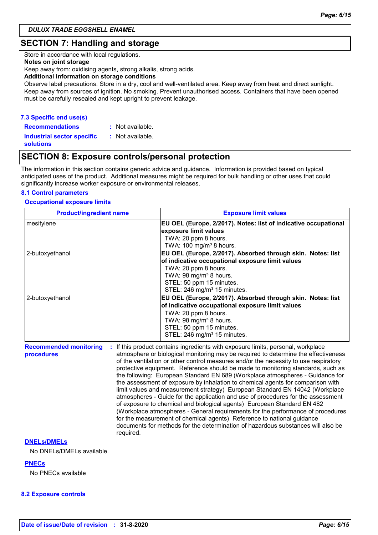### **SECTION 7: Handling and storage**

Store in accordance with local regulations.

#### **Notes on joint storage**

Keep away from: oxidising agents, strong alkalis, strong acids.

#### **Additional information on storage conditions**

Observe label precautions. Store in a dry, cool and well-ventilated area. Keep away from heat and direct sunlight. Keep away from sources of ignition. No smoking. Prevent unauthorised access. Containers that have been opened must be carefully resealed and kept upright to prevent leakage.

### **7.3 Specific end use(s)**

**Recommendations : Industrial sector specific : solutions** : Not available. : Not available.

### **SECTION 8: Exposure controls/personal protection**

The information in this section contains generic advice and guidance. Information is provided based on typical anticipated uses of the product. Additional measures might be required for bulk handling or other uses that could significantly increase worker exposure or environmental releases.

#### **8.1 Control parameters**

#### **Occupational exposure limits**

| <b>Product/ingredient name</b>                           | <b>Exposure limit values</b>                                                                                                                                                                                                                                                                                                                                                                                                                                                                                                                                                                                                                                                                                                                                                                                                                                                                                                                                                                                        |  |  |  |
|----------------------------------------------------------|---------------------------------------------------------------------------------------------------------------------------------------------------------------------------------------------------------------------------------------------------------------------------------------------------------------------------------------------------------------------------------------------------------------------------------------------------------------------------------------------------------------------------------------------------------------------------------------------------------------------------------------------------------------------------------------------------------------------------------------------------------------------------------------------------------------------------------------------------------------------------------------------------------------------------------------------------------------------------------------------------------------------|--|--|--|
| mesitylene                                               | EU OEL (Europe, 2/2017). Notes: list of indicative occupational<br>exposure limit values<br>TWA: 20 ppm 8 hours.<br>TWA: 100 mg/m <sup>3</sup> 8 hours.                                                                                                                                                                                                                                                                                                                                                                                                                                                                                                                                                                                                                                                                                                                                                                                                                                                             |  |  |  |
| 2-butoxyethanol                                          | EU OEL (Europe, 2/2017). Absorbed through skin. Notes: list<br>of indicative occupational exposure limit values<br>TWA: 20 ppm 8 hours.<br>TWA: 98 mg/m <sup>3</sup> 8 hours.<br>STEL: 50 ppm 15 minutes.<br>STEL: 246 mg/m <sup>3</sup> 15 minutes.                                                                                                                                                                                                                                                                                                                                                                                                                                                                                                                                                                                                                                                                                                                                                                |  |  |  |
| 2-butoxyethanol                                          | EU OEL (Europe, 2/2017). Absorbed through skin. Notes: list<br>of indicative occupational exposure limit values<br>TWA: 20 ppm 8 hours.<br>TWA: 98 mg/m <sup>3</sup> 8 hours.<br>STEL: 50 ppm 15 minutes.<br>STEL: 246 mg/m <sup>3</sup> 15 minutes.                                                                                                                                                                                                                                                                                                                                                                                                                                                                                                                                                                                                                                                                                                                                                                |  |  |  |
| <b>Recommended monitoring</b><br>procedures<br>required. | If this product contains ingredients with exposure limits, personal, workplace<br>atmosphere or biological monitoring may be required to determine the effectiveness<br>of the ventilation or other control measures and/or the necessity to use respiratory<br>protective equipment. Reference should be made to monitoring standards, such as<br>the following: European Standard EN 689 (Workplace atmospheres - Guidance for<br>the assessment of exposure by inhalation to chemical agents for comparison with<br>limit values and measurement strategy) European Standard EN 14042 (Workplace<br>atmospheres - Guide for the application and use of procedures for the assessment<br>of exposure to chemical and biological agents) European Standard EN 482<br>(Workplace atmospheres - General requirements for the performance of procedures<br>for the measurement of chemical agents) Reference to national guidance<br>documents for methods for the determination of hazardous substances will also be |  |  |  |

#### **DNELs/DMELs**

No DNELs/DMELs available.

#### **PNECs**

No PNECs available

#### **8.2 Exposure controls**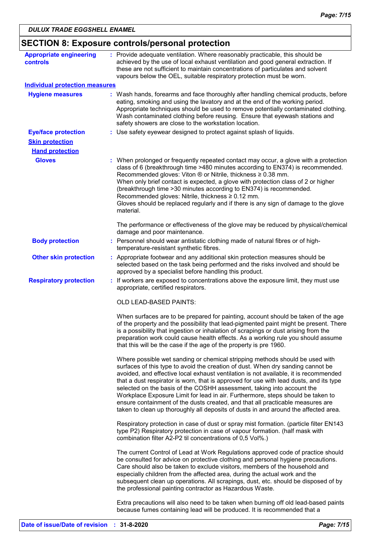| <b>Appropriate engineering</b>        | : Provide adequate ventilation. Where reasonably practicable, this should be                                                                                                                                                                                                                                                                                                                                                                                                                                                                                                                                                                                                            |
|---------------------------------------|-----------------------------------------------------------------------------------------------------------------------------------------------------------------------------------------------------------------------------------------------------------------------------------------------------------------------------------------------------------------------------------------------------------------------------------------------------------------------------------------------------------------------------------------------------------------------------------------------------------------------------------------------------------------------------------------|
| <b>controls</b>                       | achieved by the use of local exhaust ventilation and good general extraction. If<br>these are not sufficient to maintain concentrations of particulates and solvent<br>vapours below the OEL, suitable respiratory protection must be worn.                                                                                                                                                                                                                                                                                                                                                                                                                                             |
| <b>Individual protection measures</b> |                                                                                                                                                                                                                                                                                                                                                                                                                                                                                                                                                                                                                                                                                         |
| <b>Hygiene measures</b>               | : Wash hands, forearms and face thoroughly after handling chemical products, before<br>eating, smoking and using the lavatory and at the end of the working period.<br>Appropriate techniques should be used to remove potentially contaminated clothing.<br>Wash contaminated clothing before reusing. Ensure that eyewash stations and<br>safety showers are close to the workstation location.                                                                                                                                                                                                                                                                                       |
| <b>Eye/face protection</b>            | : Use safety eyewear designed to protect against splash of liquids.                                                                                                                                                                                                                                                                                                                                                                                                                                                                                                                                                                                                                     |
| <b>Skin protection</b>                |                                                                                                                                                                                                                                                                                                                                                                                                                                                                                                                                                                                                                                                                                         |
| <b>Hand protection</b>                |                                                                                                                                                                                                                                                                                                                                                                                                                                                                                                                                                                                                                                                                                         |
| <b>Gloves</b>                         | : When prolonged or frequently repeated contact may occur, a glove with a protection<br>class of 6 (breakthrough time >480 minutes according to EN374) is recommended.<br>Recommended gloves: Viton ® or Nitrile, thickness ≥ 0.38 mm.<br>When only brief contact is expected, a glove with protection class of 2 or higher<br>(breakthrough time > 30 minutes according to EN374) is recommended.                                                                                                                                                                                                                                                                                      |
|                                       | Recommended gloves: Nitrile, thickness $\geq 0.12$ mm.<br>Gloves should be replaced regularly and if there is any sign of damage to the glove<br>material.                                                                                                                                                                                                                                                                                                                                                                                                                                                                                                                              |
|                                       | The performance or effectiveness of the glove may be reduced by physical/chemical<br>damage and poor maintenance.                                                                                                                                                                                                                                                                                                                                                                                                                                                                                                                                                                       |
| <b>Body protection</b>                | : Personnel should wear antistatic clothing made of natural fibres or of high-<br>temperature-resistant synthetic fibres.                                                                                                                                                                                                                                                                                                                                                                                                                                                                                                                                                               |
| <b>Other skin protection</b>          | : Appropriate footwear and any additional skin protection measures should be<br>selected based on the task being performed and the risks involved and should be<br>approved by a specialist before handling this product.                                                                                                                                                                                                                                                                                                                                                                                                                                                               |
| <b>Respiratory protection</b>         | : If workers are exposed to concentrations above the exposure limit, they must use<br>appropriate, certified respirators.                                                                                                                                                                                                                                                                                                                                                                                                                                                                                                                                                               |
|                                       | OLD LEAD-BASED PAINTS:                                                                                                                                                                                                                                                                                                                                                                                                                                                                                                                                                                                                                                                                  |
|                                       | When surfaces are to be prepared for painting, account should be taken of the age<br>of the property and the possibility that lead-pigmented paint might be present. There<br>is a possibility that ingestion or inhalation of scrapings or dust arising from the<br>preparation work could cause health effects. As a working rule you should assume<br>that this will be the case if the age of the property is pre 1960.                                                                                                                                                                                                                                                             |
|                                       | Where possible wet sanding or chemical stripping methods should be used with<br>surfaces of this type to avoid the creation of dust. When dry sanding cannot be<br>avoided, and effective local exhaust ventilation is not available, it is recommended<br>that a dust respirator is worn, that is approved for use with lead dusts, and its type<br>selected on the basis of the COSHH assessment, taking into account the<br>Workplace Exposure Limit for lead in air. Furthermore, steps should be taken to<br>ensure containment of the dusts created, and that all practicable measures are<br>taken to clean up thoroughly all deposits of dusts in and around the affected area. |
|                                       | Respiratory protection in case of dust or spray mist formation. (particle filter EN143<br>type P2) Respiratory protection in case of vapour formation. (half mask with<br>combination filter A2-P2 til concentrations of 0,5 Vol%.)                                                                                                                                                                                                                                                                                                                                                                                                                                                     |
|                                       | The current Control of Lead at Work Regulations approved code of practice should<br>be consulted for advice on protective clothing and personal hygiene precautions.<br>Care should also be taken to exclude visitors, members of the household and<br>especially children from the affected area, during the actual work and the<br>subsequent clean up operations. All scrapings, dust, etc. should be disposed of by<br>the professional painting contractor as Hazardous Waste.                                                                                                                                                                                                     |
|                                       | Extra precautions will also need to be taken when burning off old lead-based paints<br>because fumes containing lead will be produced. It is recommended that a                                                                                                                                                                                                                                                                                                                                                                                                                                                                                                                         |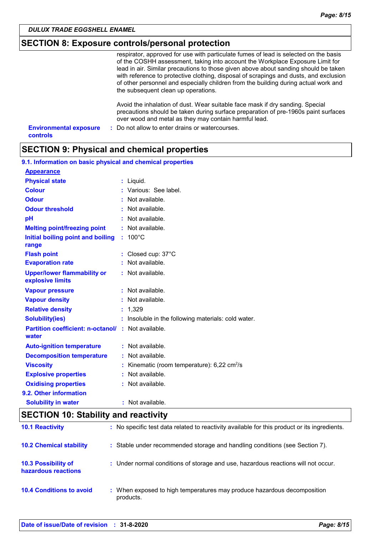### **SECTION 8: Exposure controls/personal protection**

respirator, approved for use with particulate fumes of lead is selected on the basis of the COSHH assessment, taking into account the Workplace Exposure Limit for lead in air. Similar precautions to those given above about sanding should be taken with reference to protective clothing, disposal of scrapings and dusts, and exclusion of other personnel and especially children from the building during actual work and the subsequent clean up operations.

Avoid the inhalation of dust. Wear suitable face mask if dry sanding. Special precautions should be taken during surface preparation of pre-1960s paint surfaces over wood and metal as they may contain harmful lead.

| <b>Environmental exposure</b> | : Do not allow to enter drains or watercourses. |
|-------------------------------|-------------------------------------------------|
| controls                      |                                                 |

### **SECTION 9: Physical and chemical properties**

| 9.1. Information on basic physical and chemical properties         |                                                       |
|--------------------------------------------------------------------|-------------------------------------------------------|
| <b>Appearance</b>                                                  |                                                       |
| <b>Physical state</b>                                              | : Liquid.                                             |
| <b>Colour</b>                                                      | : Various: See label.                                 |
| <b>Odour</b>                                                       | : Not available.                                      |
| <b>Odour threshold</b>                                             | $\cdot$ Not available.                                |
| pH                                                                 | : Not available.                                      |
| <b>Melting point/freezing point</b>                                | : Not available.                                      |
| Initial boiling point and boiling<br>range                         | $: 100^{\circ}$ C                                     |
| <b>Flash point</b>                                                 | : Closed cup: 37°C                                    |
| <b>Evaporation rate</b>                                            | : Not available.                                      |
| <b>Upper/lower flammability or</b><br>explosive limits             | : Not available.                                      |
| <b>Vapour pressure</b>                                             | : Not available.                                      |
| <b>Vapour density</b>                                              | : Not available.                                      |
| <b>Relative density</b>                                            | : 1,329                                               |
| <b>Solubility(ies)</b>                                             | : Insoluble in the following materials: cold water.   |
| <b>Partition coefficient: n-octanol/ : Not available.</b><br>water |                                                       |
| <b>Auto-ignition temperature</b>                                   | : Not available.                                      |
| <b>Decomposition temperature</b>                                   | : Not available.                                      |
| <b>Viscosity</b>                                                   | Kinematic (room temperature): 6,22 cm <sup>2</sup> /s |
| <b>Explosive properties</b>                                        | : Not available.                                      |
| <b>Oxidising properties</b>                                        | : Not available.                                      |
| 9.2. Other information                                             |                                                       |
| <b>Solubility in water</b>                                         | : Not available.                                      |

# **SECTION 10: Stability and reactivity**

| <b>10.1 Reactivity</b>                            | : No specific test data related to reactivity available for this product or its ingredients. |
|---------------------------------------------------|----------------------------------------------------------------------------------------------|
| <b>10.2 Chemical stability</b>                    | : Stable under recommended storage and handling conditions (see Section 7).                  |
| <b>10.3 Possibility of</b><br>hazardous reactions | : Under normal conditions of storage and use, hazardous reactions will not occur.            |
| <b>10.4 Conditions to avoid</b>                   | : When exposed to high temperatures may produce hazardous decomposition<br>products.         |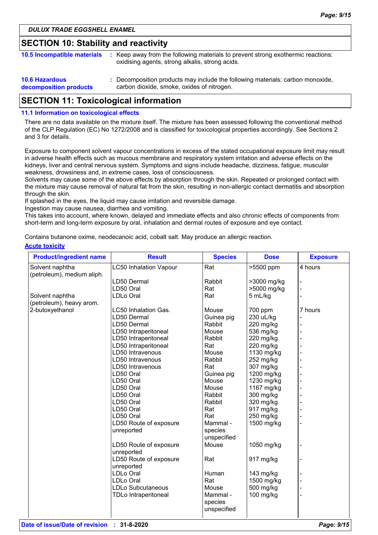### **SECTION 10: Stability and reactivity**

| <b>10.5 Incompatible materials</b>              | : Keep away from the following materials to prevent strong exothermic reactions:<br>oxidising agents, strong alkalis, strong acids. |
|-------------------------------------------------|-------------------------------------------------------------------------------------------------------------------------------------|
| <b>10.6 Hazardous</b><br>decomposition products | : Decomposition products may include the following materials: carbon monoxide,<br>carbon dioxide, smoke, oxides of nitrogen.        |

### **SECTION 11: Toxicological information**

#### **11.1 Information on toxicological effects**

There are no data available on the mixture itself. The mixture has been assessed following the conventional method of the CLP Regulation (EC) No 1272/2008 and is classified for toxicological properties accordingly. See Sections 2 and 3 for details.

Exposure to component solvent vapour concentrations in excess of the stated occupational exposure limit may result in adverse health effects such as mucous membrane and respiratory system irritation and adverse effects on the kidneys, liver and central nervous system. Symptoms and signs include headache, dizziness, fatigue, muscular weakness, drowsiness and, in extreme cases, loss of consciousness.

Solvents may cause some of the above effects by absorption through the skin. Repeated or prolonged contact with the mixture may cause removal of natural fat from the skin, resulting in non-allergic contact dermatitis and absorption through the skin.

If splashed in the eyes, the liquid may cause irritation and reversible damage.

Ingestion may cause nausea, diarrhea and vomiting.

This takes into account, where known, delayed and immediate effects and also chronic effects of components from short-term and long-term exposure by oral, inhalation and dermal routes of exposure and eye contact.

Contains butanone oxime, neodecanoic acid, cobalt salt. May produce an allergic reaction.

#### **Acute toxicity**

| <b>Product/ingredient name</b> | <b>Result</b>                 | <b>Species</b> | <b>Dose</b> | <b>Exposure</b> |
|--------------------------------|-------------------------------|----------------|-------------|-----------------|
| Solvent naphtha                | <b>LC50 Inhalation Vapour</b> | Rat            | >5500 ppm   | 4 hours         |
| (petroleum), medium aliph.     |                               |                |             |                 |
|                                | LD50 Dermal                   | Rabbit         | >3000 mg/kg |                 |
|                                | LD50 Oral                     | Rat            | >5000 mg/kg |                 |
| Solvent naphtha                | LDLo Oral                     | Rat            | 5 mL/kg     |                 |
| (petroleum), heavy arom.       |                               |                |             |                 |
| 2-butoxyethanol                | LC50 Inhalation Gas.          | Mouse          | 700 ppm     | 7 hours         |
|                                | LD50 Dermal                   | Guinea pig     | 230 uL/kg   |                 |
|                                | LD50 Dermal                   | Rabbit         | 220 mg/kg   |                 |
|                                | LD50 Intraperitoneal          | Mouse          | 536 mg/kg   |                 |
|                                | LD50 Intraperitoneal          | Rabbit         | 220 mg/kg   |                 |
|                                | LD50 Intraperitoneal          | Rat            | 220 mg/kg   |                 |
|                                | LD50 Intravenous              | Mouse          | 1130 mg/kg  |                 |
|                                | LD50 Intravenous              | Rabbit         | 252 mg/kg   |                 |
|                                | LD50 Intravenous              | Rat            | 307 mg/kg   |                 |
|                                | LD50 Oral                     | Guinea pig     | 1200 mg/kg  |                 |
|                                | LD50 Oral                     | Mouse          | 1230 mg/kg  |                 |
|                                | LD50 Oral                     | Mouse          | 1167 mg/kg  |                 |
|                                | LD50 Oral                     | Rabbit         | 300 mg/kg   |                 |
|                                | LD50 Oral                     | Rabbit         | 320 mg/kg   |                 |
|                                | LD50 Oral                     | Rat            | 917 mg/kg   |                 |
|                                | LD50 Oral                     | Rat            | 250 mg/kg   |                 |
|                                | LD50 Route of exposure        | Mammal -       | 1500 mg/kg  |                 |
|                                | unreported                    | species        |             |                 |
|                                |                               | unspecified    |             |                 |
|                                | LD50 Route of exposure        | Mouse          | 1050 mg/kg  |                 |
|                                | unreported                    |                |             |                 |
|                                | LD50 Route of exposure        | Rat            | 917 mg/kg   |                 |
|                                | unreported                    |                |             |                 |
|                                | <b>LDLo Oral</b>              | Human          | 143 mg/kg   |                 |
|                                | <b>LDLo Oral</b>              | Rat            | 1500 mg/kg  |                 |
|                                | <b>LDLo Subcutaneous</b>      | Mouse          | 500 mg/kg   |                 |
|                                | <b>TDLo Intraperitoneal</b>   | Mammal -       | 100 mg/kg   |                 |
|                                |                               | species        |             |                 |
|                                |                               | unspecified    |             |                 |
|                                |                               |                |             |                 |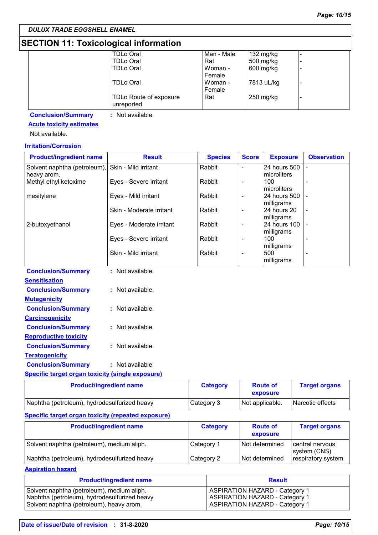# **SECTION 11: Toxicological information**

| <b>TDLo Oral</b>       | Man - Male | 132 mg/kg  |                          |
|------------------------|------------|------------|--------------------------|
| <b>TDLo Oral</b>       | Rat        | 500 mg/kg  | ٠                        |
| <b>TDLo Oral</b>       | Woman -    | 600 mg/kg  | ۰                        |
|                        | Female     |            |                          |
| <b>TDLo Oral</b>       | Woman -    | 7813 uL/kg | $\overline{\phantom{a}}$ |
|                        | Female     |            |                          |
| TDLo Route of exposure | Rat        | 250 mg/kg  | ٠                        |
| unreported             |            |            |                          |
|                        |            |            |                          |

**Conclusion/Summary :** Not available.

### **Acute toxicity estimates**

Not available.

### **Irritation/Corrosion**

| <b>Product/ingredient name</b>                          | <b>Result</b>                  | <b>Species</b>  | <b>Score</b>             | <b>Exposure</b>            | <b>Observation</b>   |
|---------------------------------------------------------|--------------------------------|-----------------|--------------------------|----------------------------|----------------------|
| Solvent naphtha (petroleum),                            | Skin - Mild irritant           | Rabbit          | $\overline{a}$           | 24 hours 500               |                      |
| heavy arom.                                             |                                |                 |                          | microliters                |                      |
| Methyl ethyl ketoxime                                   | Eyes - Severe irritant         | Rabbit          | $\overline{a}$           | 100                        |                      |
|                                                         |                                |                 |                          | microliters                |                      |
| mesitylene                                              | Eyes - Mild irritant           | Rabbit          | $\overline{a}$           | 24 hours 500<br>milligrams |                      |
|                                                         | Skin - Moderate irritant       | Rabbit          | $\overline{a}$           | 24 hours 20                |                      |
|                                                         |                                |                 |                          | milligrams                 |                      |
| 2-butoxyethanol                                         | Eyes - Moderate irritant       | Rabbit          | $\overline{a}$           | 24 hours 100               |                      |
|                                                         |                                |                 |                          | milligrams                 |                      |
|                                                         | Eyes - Severe irritant         | Rabbit          | $\overline{\phantom{0}}$ | 100                        |                      |
|                                                         |                                |                 |                          | milligrams                 |                      |
|                                                         | Skin - Mild irritant           | Rabbit          | $\overline{a}$           | 500                        |                      |
|                                                         |                                |                 |                          | milligrams                 |                      |
| <b>Conclusion/Summary</b>                               | : Not available.               |                 |                          |                            |                      |
| <b>Sensitisation</b>                                    |                                |                 |                          |                            |                      |
| <b>Conclusion/Summary</b>                               | : Not available.               |                 |                          |                            |                      |
| <b>Mutagenicity</b>                                     |                                |                 |                          |                            |                      |
| <b>Conclusion/Summary</b>                               | : Not available.               |                 |                          |                            |                      |
| <b>Carcinogenicity</b>                                  |                                |                 |                          |                            |                      |
| <b>Conclusion/Summary</b>                               | : Not available.               |                 |                          |                            |                      |
| <b>Reproductive toxicity</b>                            |                                |                 |                          |                            |                      |
| <b>Conclusion/Summary</b>                               | : Not available.               |                 |                          |                            |                      |
| <b>Teratogenicity</b>                                   |                                |                 |                          |                            |                      |
| <b>Conclusion/Summary</b>                               | : Not available.               |                 |                          |                            |                      |
| <b>Specific target organ toxicity (single exposure)</b> |                                |                 |                          |                            |                      |
|                                                         | <b>Product/ingredient name</b> | <b>Category</b> |                          | <b>Route of</b>            | <b>Target organs</b> |

|                                              |            | exposure        |                  |
|----------------------------------------------|------------|-----------------|------------------|
| Naphtha (petroleum), hydrodesulfurized heavy | Category 3 | Not applicable. | Narcotic effects |
|                                              |            |                 |                  |

### **Specific target organ toxicity (repeated exposure)**

| <b>Product/ingredient name</b>               | <b>Category</b> | <b>Route of</b><br>exposure | <b>Target organs</b>            |
|----------------------------------------------|-----------------|-----------------------------|---------------------------------|
| Solvent naphtha (petroleum), medium aliph.   | Category 1      | Not determined              | central nervous<br>system (CNS) |
| Naphtha (petroleum), hydrodesulfurized heavy | Category 2      | l Not determined            | respiratory system              |

**Aspiration hazard**

| <b>Product/ingredient name</b>               | <b>Result</b>                         |
|----------------------------------------------|---------------------------------------|
| Solvent naphtha (petroleum), medium aliph.   | <b>ASPIRATION HAZARD - Category 1</b> |
| Naphtha (petroleum), hydrodesulfurized heavy | <b>ASPIRATION HAZARD - Category 1</b> |
| Solvent naphtha (petroleum), heavy arom.     | <b>ASPIRATION HAZARD - Category 1</b> |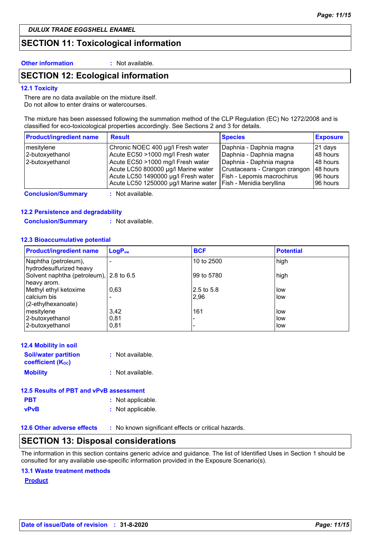### **SECTION 11: Toxicological information**

**Other information :** Not available.

### **SECTION 12: Ecological information**

#### **12.1 Toxicity**

There are no data available on the mixture itself. Do not allow to enter drains or watercourses.

The mixture has been assessed following the summation method of the CLP Regulation (EC) No 1272/2008 and is classified for eco-toxicological properties accordingly. See Sections 2 and 3 for details.

| <b>Product/ingredient name</b> | <b>Result</b>                        | <b>Species</b>                | <b>Exposure</b> |
|--------------------------------|--------------------------------------|-------------------------------|-----------------|
| mesitylene                     | Chronic NOEC 400 µg/l Fresh water    | Daphnia - Daphnia magna       | 21 days         |
| 2-butoxyethanol                | Acute EC50 >1000 mg/l Fresh water    | Daphnia - Daphnia magna       | 48 hours        |
| 2-butoxyethanol                | Acute EC50 >1000 mg/l Fresh water    | Daphnia - Daphnia magna       | 48 hours        |
|                                | Acute LC50 800000 µg/l Marine water  | Crustaceans - Crangon crangon | 48 hours        |
|                                | Acute LC50 1490000 µg/l Fresh water  | Fish - Lepomis macrochirus    | 196 hours       |
|                                | Acute LC50 1250000 µg/l Marine water | Fish - Menidia beryllina      | 96 hours        |

**Conclusion/Summary :** Not available.

#### **12.2 Persistence and degradability**

**Conclusion/Summary :** Not available.

#### **12.3 Bioaccumulative potential**

| <b>Product/ingredient name</b>                         | LogP <sub>ow</sub> | <b>BCF</b> | <b>Potential</b> |
|--------------------------------------------------------|--------------------|------------|------------------|
| Naphtha (petroleum),<br>hydrodesulfurized heavy        |                    | 10 to 2500 | high             |
| Solvent naphtha (petroleum), 2.8 to 6.5<br>heavy arom. |                    | 99 to 5780 | high             |
| Methyl ethyl ketoxime                                  | 0,63               | 2.5 to 5.8 | low              |
| calcium bis                                            |                    | 2,96       | low              |
| (2-ethylhexanoate)                                     |                    |            |                  |
| mesitylene                                             | 3,42               | 161        | low              |
| 2-butoxyethanol                                        | 0,81               |            | low              |
| 2-butoxyethanol                                        | 0,81               |            | low              |

| <b>12.4 Mobility in soil</b>                            |                  |
|---------------------------------------------------------|------------------|
| <b>Soil/water partition</b><br><b>coefficient (Koc)</b> | : Not available. |
| <b>Mobility</b>                                         | : Not available. |

| 12.5 Results of PBT and vPvB assessment |                   |  |
|-----------------------------------------|-------------------|--|
| <b>PBT</b>                              | : Not applicable. |  |
| vPvB                                    | : Not applicable. |  |

**12.6 Other adverse effects** : No known significant effects or critical hazards.

### **SECTION 13: Disposal considerations**

The information in this section contains generic advice and guidance. The list of Identified Uses in Section 1 should be consulted for any available use-specific information provided in the Exposure Scenario(s).

#### **13.1 Waste treatment methods**

**Product**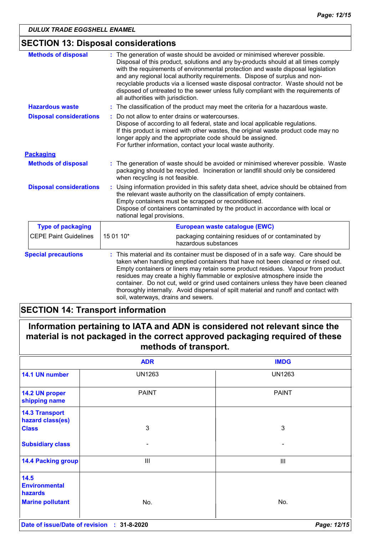# **SECTION 13: Disposal considerations**

| <b>Methods of disposal</b>     | : The generation of waste should be avoided or minimised wherever possible.<br>Disposal of this product, solutions and any by-products should at all times comply<br>with the requirements of environmental protection and waste disposal legislation<br>and any regional local authority requirements. Dispose of surplus and non-<br>recyclable products via a licensed waste disposal contractor. Waste should not be<br>disposed of untreated to the sewer unless fully compliant with the requirements of<br>all authorities with jurisdiction.        |  |
|--------------------------------|-------------------------------------------------------------------------------------------------------------------------------------------------------------------------------------------------------------------------------------------------------------------------------------------------------------------------------------------------------------------------------------------------------------------------------------------------------------------------------------------------------------------------------------------------------------|--|
| <b>Hazardous waste</b>         | : The classification of the product may meet the criteria for a hazardous waste.                                                                                                                                                                                                                                                                                                                                                                                                                                                                            |  |
| <b>Disposal considerations</b> | Do not allow to enter drains or watercourses.<br>Dispose of according to all federal, state and local applicable regulations.<br>If this product is mixed with other wastes, the original waste product code may no<br>longer apply and the appropriate code should be assigned.<br>For further information, contact your local waste authority.                                                                                                                                                                                                            |  |
| <b>Packaging</b>               |                                                                                                                                                                                                                                                                                                                                                                                                                                                                                                                                                             |  |
| <b>Methods of disposal</b>     | : The generation of waste should be avoided or minimised wherever possible. Waste<br>packaging should be recycled. Incineration or landfill should only be considered<br>when recycling is not feasible.                                                                                                                                                                                                                                                                                                                                                    |  |
| <b>Disposal considerations</b> | Using information provided in this safety data sheet, advice should be obtained from<br>the relevant waste authority on the classification of empty containers.<br>Empty containers must be scrapped or reconditioned.<br>Dispose of containers contaminated by the product in accordance with local or<br>national legal provisions.                                                                                                                                                                                                                       |  |
| <b>Type of packaging</b>       | European waste catalogue (EWC)                                                                                                                                                                                                                                                                                                                                                                                                                                                                                                                              |  |
| <b>CEPE Paint Guidelines</b>   | 15 01 10*<br>packaging containing residues of or contaminated by<br>hazardous substances                                                                                                                                                                                                                                                                                                                                                                                                                                                                    |  |
| <b>Special precautions</b>     | This material and its container must be disposed of in a safe way. Care should be<br>taken when handling emptied containers that have not been cleaned or rinsed out.<br>Empty containers or liners may retain some product residues. Vapour from product<br>residues may create a highly flammable or explosive atmosphere inside the<br>container. Do not cut, weld or grind used containers unless they have been cleaned<br>thoroughly internally. Avoid dispersal of spilt material and runoff and contact with<br>soil, waterways, drains and sewers. |  |

# **SECTION 14: Transport information**

| Information pertaining to IATA and ADN is considered not relevant since the  |  |
|------------------------------------------------------------------------------|--|
| material is not packaged in the correct approved packaging required of these |  |
| methods of transport.                                                        |  |

|                                                                    | <b>ADR</b>    | <b>IMDG</b>   |
|--------------------------------------------------------------------|---------------|---------------|
| 14.1 UN number                                                     | <b>UN1263</b> | <b>UN1263</b> |
| 14.2 UN proper<br>shipping name                                    | <b>PAINT</b>  | <b>PAINT</b>  |
| <b>14.3 Transport</b><br>hazard class(es)<br><b>Class</b>          | $\mathbf{3}$  | 3             |
| <b>Subsidiary class</b>                                            | -             |               |
| <b>14.4 Packing group</b>                                          | III           | III           |
| 14.5<br><b>Environmental</b><br>hazards<br><b>Marine pollutant</b> |               | No.           |
|                                                                    | No.           |               |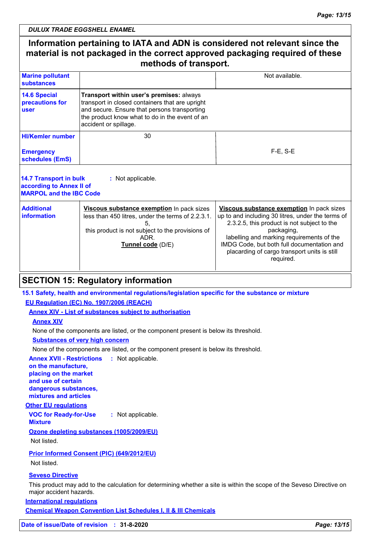## **Information pertaining to IATA and ADN is considered not relevant since the material is not packaged in the correct approved packaging required of these methods of transport.**

| <b>Marine pollutant</b><br>substances          |                                                                                                                                                                                                                        | Not available. |
|------------------------------------------------|------------------------------------------------------------------------------------------------------------------------------------------------------------------------------------------------------------------------|----------------|
| <b>14.6 Special</b><br>precautions for<br>user | Transport within user's premises: always<br>transport in closed containers that are upright<br>and secure. Ensure that persons transporting<br>the product know what to do in the event of an<br>accident or spillage. |                |
| <b>HI/Kemler number</b>                        | 30                                                                                                                                                                                                                     |                |
| <b>Emergency</b><br>schedules (EmS)            |                                                                                                                                                                                                                        | $F-E$ , $S-E$  |
|                                                |                                                                                                                                                                                                                        |                |

| 14.7 Transport in bulk<br>according to Annex II of<br><b>MARPOL and the IBC Code</b> | : Not applicable.                                                                                                                                                               |                                                                                                                                                                                                                                                                                                                     |
|--------------------------------------------------------------------------------------|---------------------------------------------------------------------------------------------------------------------------------------------------------------------------------|---------------------------------------------------------------------------------------------------------------------------------------------------------------------------------------------------------------------------------------------------------------------------------------------------------------------|
| <b>Additional</b><br>information                                                     | Viscous substance exemption In pack sizes<br>less than 450 litres, under the terms of 2.2.3.1.<br>this product is not subject to the provisions of<br>ADR.<br>Tunnel code (D/E) | Viscous substance exemption In pack sizes<br>up to and including 30 litres, under the terms of<br>2.3.2.5, this product is not subject to the<br>packaging,<br>labelling and marking requirements of the<br>IMDG Code, but both full documentation and<br>placarding of cargo transport units is still<br>required. |

# **SECTION 15: Regulatory information**

### **15.1 Safety, health and environmental regulations/legislation specific for the substance or mixture**

### **EU Regulation (EC) No. 1907/2006 (REACH)**

**Annex XIV - List of substances subject to authorisation**

#### **Annex XIV**

None of the components are listed, or the component present is below its threshold.

### **Substances of very high concern**

None of the components are listed, or the component present is below its threshold.

**Annex XVII - Restrictions :** Not applicable. **on the manufacture, placing on the market** 

**and use of certain dangerous substances, mixtures and articles**

### **Other EU regulations**

**VOC for Ready-for-Use Mixture :** Not applicable.

### **Ozone depleting substances (1005/2009/EU)**

Not listed.

### **Prior Informed Consent (PIC) (649/2012/EU)**

Not listed.

### **Seveso Directive**

This product may add to the calculation for determining whether a site is within the scope of the Seveso Directive on major accident hazards.

**International regulations**

**Chemical Weapon Convention List Schedules I, II & III Chemicals**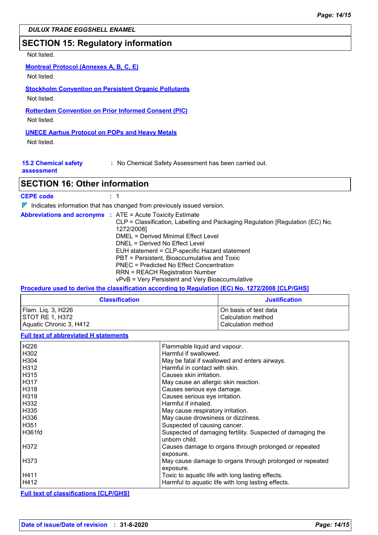### **SECTION 15: Regulatory information**

### Not listed.

### **Montreal Protocol (Annexes A, B, C, E)**

Not listed.

# **Stockholm Convention on Persistent Organic Pollutants**

Not listed.

# **Rotterdam Convention on Prior Informed Consent (PIC)**

Not listed.

### **UNECE Aarhus Protocol on POPs and Heavy Metals**

Not listed.

| <b>15.2 Chemical safety</b><br>: No Chemical Safety Assessment has been carried out. |  |
|--------------------------------------------------------------------------------------|--|
|--------------------------------------------------------------------------------------|--|

#### **assessment**

### **SECTION 16: Other information**

| <b>CEPE code</b> |  |
|------------------|--|
|------------------|--|

 $\nabla$  Indicates information that has changed from previously issued version.

|  | <b>Abbreviations and acronyms : ATE = Acute Toxicity Estimate</b><br>CLP = Classification, Labelling and Packaging Regulation [Regulation (EC) No.<br>1272/2008]<br>DMEL = Derived Minimal Effect Level<br>DNEL = Derived No Effect Level<br>EUH statement = CLP-specific Hazard statement |
|--|--------------------------------------------------------------------------------------------------------------------------------------------------------------------------------------------------------------------------------------------------------------------------------------------|
|  | PBT = Persistent, Bioaccumulative and Toxic<br>PNEC = Predicted No Effect Concentration<br><b>RRN = REACH Registration Number</b><br>vPvB = Very Persistent and Very Bioaccumulative                                                                                                       |

### **Procedure used to derive the classification according to Regulation (EC) No. 1272/2008 [CLP/GHS]**

| <b>Classification</b>                  | <b>Justification</b>                        |
|----------------------------------------|---------------------------------------------|
| Flam. Lig. 3, H226<br>ISTOT RE 1. H372 | On basis of test data<br>Calculation method |
| Aquatic Chronic 3, H412                | Calculation method                          |

#### **Full text of abbreviated H statements**

| H226   | Flammable liquid and vapour.                                                |
|--------|-----------------------------------------------------------------------------|
| H302   | Harmful if swallowed.                                                       |
|        |                                                                             |
| H304   | May be fatal if swallowed and enters airways.                               |
| l H312 | Harmful in contact with skin.                                               |
| H315   | Causes skin irritation.                                                     |
| l H317 | May cause an allergic skin reaction.                                        |
| H318   | Causes serious eye damage.                                                  |
| H319   | Causes serious eye irritation.                                              |
| H332   | Harmful if inhaled.                                                         |
| H335   | May cause respiratory irritation.                                           |
| H336   | May cause drowsiness or dizziness.                                          |
| H351   | Suspected of causing cancer.                                                |
| H361fd | Suspected of damaging fertility. Suspected of damaging the<br>unborn child. |
| H372   | Causes damage to organs through prolonged or repeated<br>exposure.          |
| H373   | May cause damage to organs through prolonged or repeated<br>exposure.       |
| H411   | Toxic to aquatic life with long lasting effects.                            |
| H412   | Harmful to aquatic life with long lasting effects.                          |

#### **Full text of classifications [CLP/GHS]**